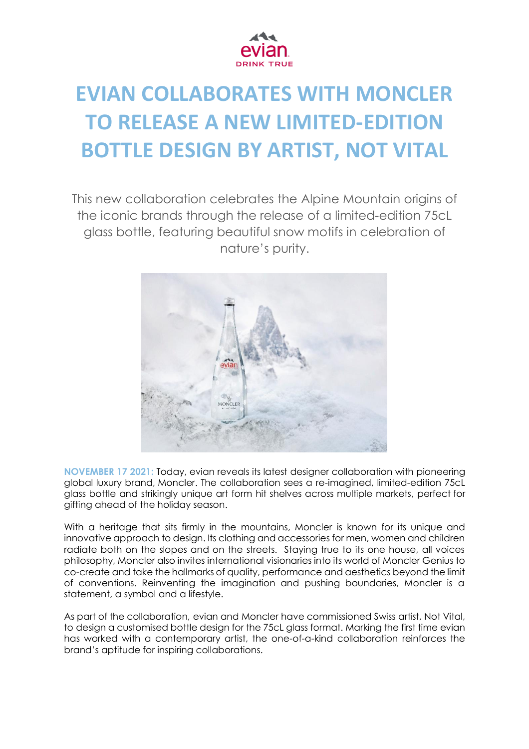

# **EVIAN COLLABORATES WITH MONCLER TO RELEASE A NEW LIMITED-EDITION BOTTLE DESIGN BY ARTIST, NOT VITAL**

This new collaboration celebrates the Alpine Mountain origins of the iconic brands through the release of a limited-edition 75cL glass bottle, featuring beautiful snow motifs in celebration of nature's purity.



**NOVEMBER 17 2021:** Today, evian reveals its latest designer collaboration with pioneering global luxury brand, Moncler. The collaboration sees a re-imagined, limited-edition 75cL glass bottle and strikingly unique art form hit shelves across multiple markets, perfect for gifting ahead of the holiday season.

With a heritage that sits firmly in the mountains, Moncler is known for its unique and innovative approach to design. Its clothing and accessories for men, women and children radiate both on the slopes and on the streets. Staying true to its one house, all voices philosophy, Moncler also invites international visionaries into its world of Moncler Genius to co-create and take the hallmarks of quality, performance and aesthetics beyond the limit of conventions. Reinventing the imagination and pushing boundaries, Moncler is a statement, a symbol and a lifestyle.

As part of the collaboration, evian and Moncler have commissioned Swiss artist, Not Vital, to design a customised bottle design for the 75cL glass format. Marking the first time evian has worked with a contemporary artist, the one-of-a-kind collaboration reinforces the brand's aptitude for inspiring collaborations.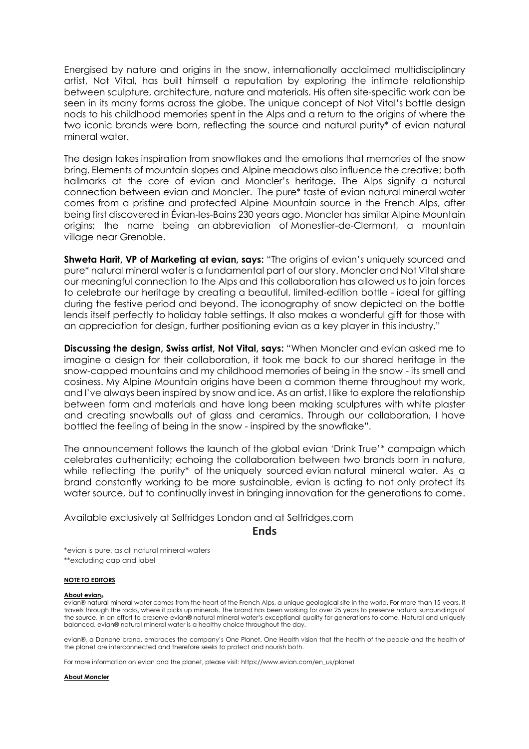Energised by nature and origins in the snow, internationally acclaimed multidisciplinary artist, Not Vital, has built himself a reputation by exploring the intimate relationship between sculpture, architecture, nature and materials. His often site-specific work can be seen in its many forms across the globe. The unique concept of Not Vital's bottle design nods to his childhood memories spent in the Alps and a return to the origins of where the two iconic brands were born, reflecting the source and natural purity\* of evian natural mineral water.

The design takes inspiration from snowflakes and the emotions that memories of the snow bring. Elements of mountain slopes and Alpine meadows also influence the creative; both hallmarks at the core of evian and Moncler's heritage. The Alps signify a natural connection between evian and Moncler. The pure\* taste of evian natural mineral water comes from a pristine and protected Alpine Mountain source in the French Alps, after being first discovered in Évian-les-Bains 230 years ago. Moncler has similar Alpine Mountain origins; the name being an abbreviation of Monestier-de-Clermont, a mountain village near Grenoble.

**Shweta Harit, VP of Marketing at evian, says:** "The origins of evian's uniquely sourced and pure\* natural mineral water is a fundamental part of our story. Moncler and Not Vital share our meaningful connection to the Alps and this collaboration has allowed us to join forces to celebrate our heritage by creating a beautiful, limited-edition bottle - ideal for gifting during the festive period and beyond. The iconography of snow depicted on the bottle lends itself perfectly to holiday table settings. It also makes a wonderful gift for those with an appreciation for design, further positioning evian as a key player in this industry."

**Discussing the design, Swiss artist, Not Vital, says:** "When Moncler and evian asked me to imagine a design for their collaboration, it took me back to our shared heritage in the snow-capped mountains and my childhood memories of being in the snow - its smell and cosiness. My Alpine Mountain origins have been a common theme throughout my work, and I've always been inspired by snow and ice. As an artist, I like to explore the relationship between form and materials and have long been making sculptures with white plaster and creating snowballs out of glass and ceramics. Through our collaboration, I have bottled the feeling of being in the snow - inspired by the snowflake".

The announcement follows the launch of the global evian 'Drink True'\* campaign which celebrates authenticity; echoing the collaboration between two brands born in nature, while reflecting the purity\* of the uniquely sourced evian natural mineral water. As a brand constantly working to be more sustainable, evian is acting to not only protect its water source, but to continually invest in bringing innovation for the generations to come.

Available exclusively at Selfridges London and at Selfridges.com

**Ends**

\*evian is pure, as all natural mineral waters \*\*excluding cap and label

## **NOTE TO EDITORS**

## **About evian®**

evian® natural mineral water comes from the heart of the French Alps, a unique geological site in the world. For more than 15 years, it travels through the rocks, where it picks up minerals. The brand has been working for over 25 years to preserve natural surroundings of the source, in an effort to preserve evian® natural mineral water's exceptional quality for generations to come. Natural and uniquely balanced, evian® natural mineral water is a healthy choice throughout the day.

evian®, a Danone brand, embraces the company's One Planet. One Health vision that the health of the people and the health of the planet are interconnected and therefore seeks to protect and nourish both.

For more information on evian and the planet, please visit: https://www.evian.com/en\_us/planet

### **About Moncler**